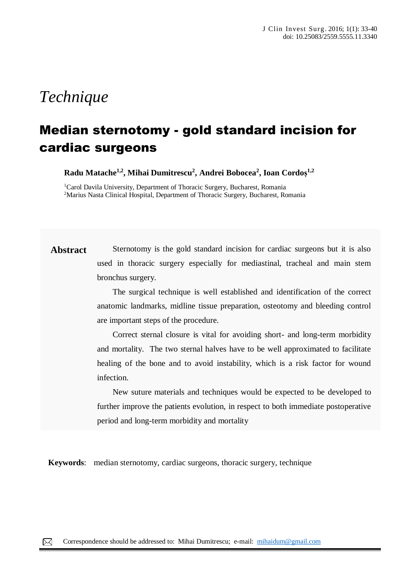# *Technique*

## Median sternotomy - gold standard incision for cardiac surgeons

**Radu Matache1,2, Mihai Dumitrescu<sup>2</sup> , Andrei Bobocea<sup>2</sup> , Ioan Cordoș 1,2**

<sup>1</sup>Carol Davila University, Department of Thoracic Surgery, Bucharest, Romania <sup>2</sup>Marius Nasta Clinical Hospital, Department of Thoracic Surgery, Bucharest, Romania

**Abstract** Sternotomy is the gold standard incision for cardiac surgeons but it is also used in thoracic surgery especially for mediastinal, tracheal and main stem bronchus surgery.

> The surgical technique is well established and identification of the correct anatomic landmarks, midline tissue preparation, osteotomy and bleeding control are important steps of the procedure.

> Correct sternal closure is vital for avoiding short- and long-term morbidity and mortality. The two sternal halves have to be well approximated to facilitate healing of the bone and to avoid instability, which is a risk factor for wound infection.

> New suture materials and techniques would be expected to be developed to further improve the patients evolution, in respect to both immediate postoperative period and long-term morbidity and mortality

**Keywords**: median sternotomy, cardiac surgeons, thoracic surgery, technique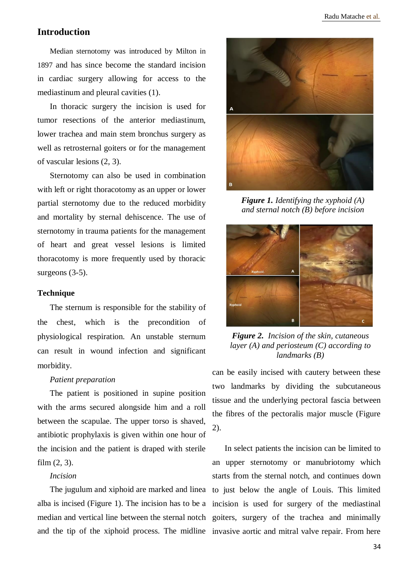## **Introduction**

Median sternotomy was introduced by Milton in 1897 and has since become the standard incision in cardiac surgery allowing for access to the mediastinum and pleural cavities (1).

In thoracic surgery the incision is used for tumor resections of the anterior mediastinum, lower trachea and main stem bronchus surgery as well as retrosternal goiters or for the management of vascular lesions (2, 3).

Sternotomy can also be used in combination with left or right thoracotomy as an upper or lower partial sternotomy due to the reduced morbidity and mortality by sternal dehiscence. The use of sternotomy in trauma patients for the management of heart and great vessel lesions is limited thoracotomy is more frequently used by thoracic surgeons (3-5).

#### **Technique**

The sternum is responsible for the stability of the chest, which is the precondition of physiological respiration. An unstable sternum can result in wound infection and significant morbidity.

#### *Patient preparation*

The patient is positioned in supine position with the arms secured alongside him and a roll between the scapulae. The upper torso is shaved, antibiotic prophylaxis is given within one hour of the incision and the patient is draped with sterile film (2, 3).

#### *Incision*

alba is incised (Figure 1). The incision has to be a incision is used for surgery of the mediastinal



*Figure 1. Identifying the xyphoid (A) and sternal notch (B) before incision*



*Figure 2. Incision of the skin, cutaneous layer (A) and periosteum (C) according to landmarks (B)*

can be easily incised with cautery between these two landmarks by dividing the subcutaneous tissue and the underlying pectoral fascia between the fibres of the pectoralis major muscle (Figure 2).

The jugulum and xiphoid are marked and linea to just below the angle of Louis. This limited median and vertical line between the sternal notch goiters, surgery of the trachea and minimally and the tip of the xiphoid process. The midline invasive aortic and mitral valve repair. From here In select patients the incision can be limited to an upper sternotomy or manubriotomy which starts from the sternal notch, and continues down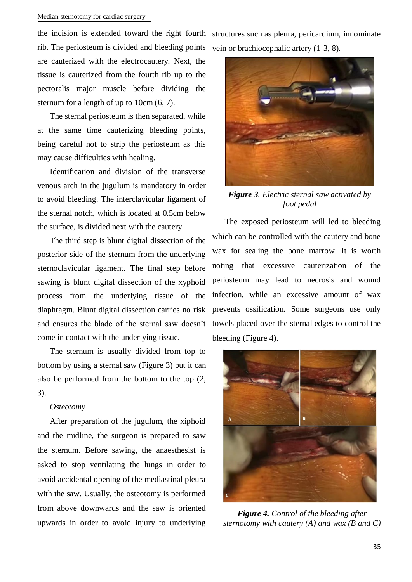## Median sternotomy for cardiac surgery

the incision is extended toward the right fourth structures such as pleura, pericardium, innominate

rib. The periosteum is divided and bleeding points are cauterized with the electrocautery. Next, the tissue is cauterized from the fourth rib up to the pectoralis major muscle before dividing the sternum for a length of up to 10cm (6, 7).

The sternal periosteum is then separated, while at the same time cauterizing bleeding points, being careful not to strip the periosteum as this may cause difficulties with healing.

Identification and division of the transverse venous arch in the jugulum is mandatory in order to avoid bleeding. The interclavicular ligament of the sternal notch, which is located at 0.5cm below the surface, is divided next with the cautery.

The third step is blunt digital dissection of the posterior side of the sternum from the underlying sternoclavicular ligament. The final step before sawing is blunt digital dissection of the xyphoid process from the underlying tissue of the diaphragm. Blunt digital dissection carries no risk and ensures the blade of the sternal saw doesn't come in contact with the underlying tissue.

The sternum is usually divided from top to bottom by using a sternal saw (Figure 3) but it can also be performed from the bottom to the top (2, 3).

## *Osteotomy*

After preparation of the jugulum, the xiphoid and the midline, the surgeon is prepared to saw the sternum. Before sawing, the anaesthesist is asked to stop ventilating the lungs in order to avoid accidental opening of the mediastinal pleura with the saw. Usually, the osteotomy is performed from above downwards and the saw is oriented upwards in order to avoid injury to underlying

vein or brachiocephalic artery (1-3, 8).



*Figure 3. Electric sternal saw activated by foot pedal*

The exposed periosteum will led to bleeding which can be controlled with the cautery and bone wax for sealing the bone marrow. It is worth noting that excessive cauterization of the periosteum may lead to necrosis and wound infection, while an excessive amount of wax prevents ossification. Some surgeons use only towels placed over the sternal edges to control the bleeding (Figure 4).



*Figure 4. Control of the bleeding after sternotomy with cautery (A) and wax (B and C)*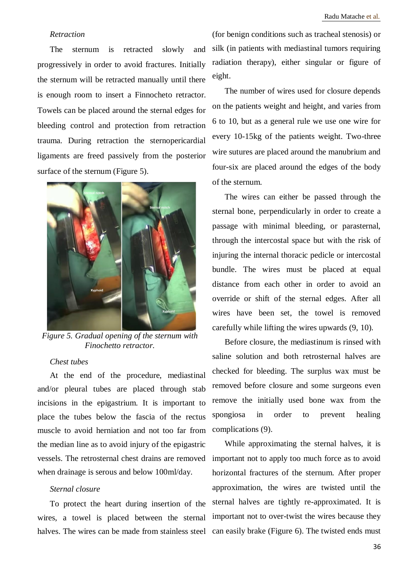## *Retraction*

The sternum is retracted slowly and progressively in order to avoid fractures. Initially the sternum will be retracted manually until there is enough room to insert a Finnocheto retractor. Towels can be placed around the sternal edges for bleeding control and protection from retraction trauma. During retraction the sternopericardial ligaments are freed passively from the posterior surface of the sternum (Figure 5).



*Figure 5. Gradual opening of the sternum with Finochetto retractor.*

## *Chest tubes*

At the end of the procedure, mediastinal and/or pleural tubes are placed through stab incisions in the epigastrium. It is important to place the tubes below the fascia of the rectus muscle to avoid herniation and not too far from the median line as to avoid injury of the epigastric vessels. The retrosternal chest drains are removed when drainage is serous and below 100ml/day.

#### *Sternal closure*

To protect the heart during insertion of the wires, a towel is placed between the sternal halves. The wires can be made from stainless steel

(for benign conditions such as tracheal stenosis) or silk (in patients with mediastinal tumors requiring radiation therapy), either singular or figure of eight.

The number of wires used for closure depends on the patients weight and height, and varies from 6 to 10, but as a general rule we use one wire for every 10-15kg of the patients weight. Two-three wire sutures are placed around the manubrium and four-six are placed around the edges of the body of the sternum.

The wires can either be passed through the sternal bone, perpendicularly in order to create a passage with minimal bleeding, or parasternal, through the intercostal space but with the risk of injuring the internal thoracic pedicle or intercostal bundle. The wires must be placed at equal distance from each other in order to avoid an override or shift of the sternal edges. After all wires have been set, the towel is removed carefully while lifting the wires upwards (9, 10).

Before closure, the mediastinum is rinsed with saline solution and both retrosternal halves are checked for bleeding. The surplus wax must be removed before closure and some surgeons even remove the initially used bone wax from the spongiosa in order to prevent healing complications (9).

While approximating the sternal halves, it is important not to apply too much force as to avoid horizontal fractures of the sternum. After proper approximation, the wires are twisted until the sternal halves are tightly re-approximated. It is important not to over-twist the wires because they can easily brake (Figure 6). The twisted ends must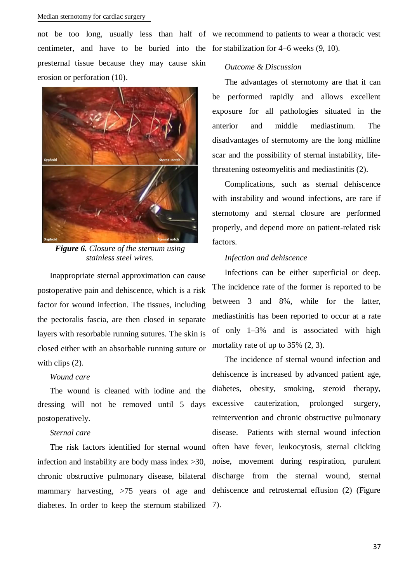centimeter, and have to be buried into the for stabilization for 4–6 weeks (9, 10). presternal tissue because they may cause skin erosion or perforation (10).



*Figure 6. Closure of the sternum using stainless steel wires.*

Inappropriate sternal approximation can cause postoperative pain and dehiscence, which is a risk factor for wound infection. The tissues, including the pectoralis fascia, are then closed in separate layers with resorbable running sutures. The skin is closed either with an absorbable running suture or with clips  $(2)$ .

## *Wound care*

The wound is cleaned with iodine and the dressing will not be removed until 5 days postoperatively.

#### *Sternal care*

infection and instability are body mass index >30, noise, movement during respiration, purulent chronic obstructive pulmonary disease, bilateral discharge from the sternal wound, sternal mammary harvesting, >75 years of age and dehiscence and retrosternal effusion (2) (Figure diabetes. In order to keep the sternum stabilized 7).

not be too long, usually less than half of we recommend to patients to wear a thoracic vest

## *Outcome & Discussion*

The advantages of sternotomy are that it can be performed rapidly and allows excellent exposure for all pathologies situated in the anterior and middle mediastinum. The disadvantages of sternotomy are the long midline scar and the possibility of sternal instability, lifethreatening osteomyelitis and mediastinitis (2).

Complications, such as sternal dehiscence with instability and wound infections, are rare if sternotomy and sternal closure are performed properly, and depend more on patient-related risk factors.

## *Infection and dehiscence*

Infections can be either superficial or deep. The incidence rate of the former is reported to be between 3 and 8%, while for the latter, mediastinitis has been reported to occur at a rate of only 1–3% and is associated with high mortality rate of up to 35%  $(2, 3)$ .

The risk factors identified for sternal wound often have fever, leukocytosis, sternal clicking The incidence of sternal wound infection and dehiscence is increased by advanced patient age, diabetes, obesity, smoking, steroid therapy, excessive cauterization, prolonged surgery, reintervention and chronic obstructive pulmonary disease. Patients with sternal wound infection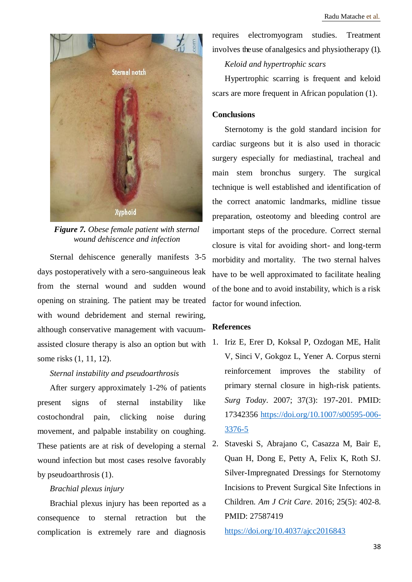

*Figure 7. Obese female patient with sternal wound dehiscence and infection*

Sternal dehiscence generally manifests 3-5 days postoperatively with a sero-sanguineous leak from the sternal wound and sudden wound opening on straining. The patient may be treated with wound debridement and sternal rewiring, although conservative management with vacuumassisted closure therapy is also an option but with some risks (1, 11, 12).

## *Sternal instability and pseudoarthrosis*

After surgery approximately 1-2% of patients present signs of sternal instability like costochondral pain, clicking noise during movement, and palpable instability on coughing. These patients are at risk of developing a sternal wound infection but most cases resolve favorably by pseudoarthrosis (1).

#### *Brachial plexus injury*

Brachial plexus injury has been reported as a consequence to sternal retraction but the complication is extremely rare and diagnosis requires electromyogram studies. Treatment involves the use of analgesics and physiotherapy (1).

#### *Keloid and hypertrophic scars*

Hypertrophic scarring is frequent and keloid scars are more frequent in African population (1).

## **Conclusions**

Sternotomy is the gold standard incision for cardiac surgeons but it is also used in thoracic surgery especially for mediastinal, tracheal and main stem bronchus surgery. The surgical technique is well established and identification of the correct anatomic landmarks, midline tissue preparation, osteotomy and bleeding control are important steps of the procedure. Correct sternal closure is vital for avoiding short- and long-term morbidity and mortality. The two sternal halves have to be well approximated to facilitate healing of the bone and to avoid instability, which is a risk factor for wound infection.

## **References**

- 1. Iriz E, Erer D, Koksal P, Ozdogan ME, Halit V, Sinci V, Gokgoz L, Yener A. Corpus sterni reinforcement improves the stability of primary sternal closure in high-risk patients. *Surg Today*. 2007; 37(3): 197-201. PMID: 17342356 [https://doi.org/10.1007/s00595-006-](https://doi.org/10.1007/s00595-006-3376-5) [3376-5](https://doi.org/10.1007/s00595-006-3376-5)
- 2. Staveski S, Abrajano C, Casazza M, Bair E, Quan H, Dong E, Petty A, Felix K, Roth SJ. Silver-Impregnated Dressings for Sternotomy Incisions to Prevent Surgical Site Infections in Children. *Am J Crit Care*. 2016; 25(5): 402-8. PMID: 27587419

<https://doi.org/10.4037/ajcc2016843>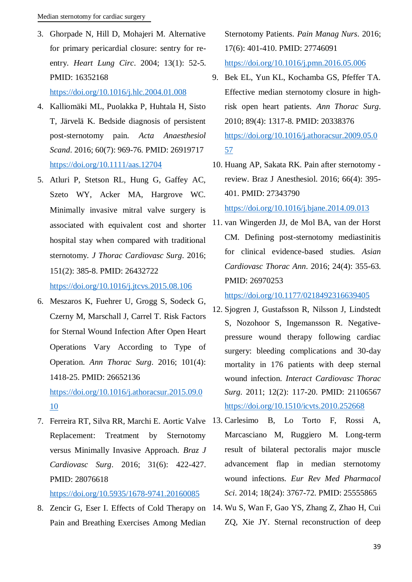3. Ghorpade N, Hill D, Mohajeri M. Alternative for primary pericardial closure: sentry for reentry. *Heart Lung Circ*. 2004; 13(1): 52-5. PMID: 16352168

## <https://doi.org/10.1016/j.hlc.2004.01.008>

- 4. Kalliomäki ML, Puolakka P, Huhtala H, Sisto T, Järvelä K. Bedside diagnosis of persistent post-sternotomy pain. *Acta Anaesthesiol Scand*. 2016; 60(7): 969-76. PMID: 26919717 <https://doi.org/10.1111/aas.12704>
- 5. Atluri P, Stetson RL, Hung G, Gaffey AC, Szeto WY, Acker MA, Hargrove WC. Minimally invasive mitral valve surgery is associated with equivalent cost and shorter hospital stay when compared with traditional sternotomy. *J Thorac Cardiovasc Surg*. 2016; 151(2): 385-8. PMID: 26432722 <https://doi.org/10.1016/j.jtcvs.2015.08.106>
- 6. Meszaros K, Fuehrer U, Grogg S, Sodeck G, Czerny M, Marschall J, Carrel T. Risk Factors for Sternal Wound Infection After Open Heart Operations Vary According to Type of Operation. *Ann Thorac Surg*. 2016; 101(4): 1418-25. PMID: 26652136

[https://doi.org/10.1016/j.athoracsur.2015.09.0](https://doi.org/10.1016/j.athoracsur.2015.09.010) [10](https://doi.org/10.1016/j.athoracsur.2015.09.010)

Replacement: Treatment by Sternotomy versus Minimally Invasive Approach. *Braz J Cardiovasc Surg*. 2016; 31(6): 422-427. PMID: 28076618

<https://doi.org/10.5935/1678-9741.20160085>

Pain and Breathing Exercises Among Median

Sternotomy Patients. *Pain Manag Nurs*. 2016; 17(6): 401-410. PMID: 27746091 <https://doi.org/10.1016/j.pmn.2016.05.006>

- 9. Bek EL, Yun KL, Kochamba GS, Pfeffer TA. Effective median sternotomy closure in highrisk open heart patients. *Ann Thorac Surg*. 2010; 89(4): 1317-8. PMID: 20338376 [https://doi.org/10.1016/j.athoracsur.2009.05.0](https://doi.org/10.1016/j.athoracsur.2009.05.057) [57](https://doi.org/10.1016/j.athoracsur.2009.05.057)
- 10. Huang AP, Sakata RK. Pain after sternotomy review. Braz J Anesthesiol. 2016; 66(4): 395- 401. PMID: 27343790 <https://doi.org/10.1016/j.bjane.2014.09.013>
- 11. van Wingerden JJ, de Mol BA, van der Horst CM. Defining post-sternotomy mediastinitis for clinical evidence-based studies. *Asian Cardiovasc Thorac Ann*. 2016; 24(4): 355-63. PMID: 26970253

<https://doi.org/10.1177/0218492316639405>

- 12. Sjogren J, Gustafsson R, Nilsson J, Lindstedt S, Nozohoor S, Ingemansson R. Negativepressure wound therapy following cardiac surgery: bleeding complications and 30-day mortality in 176 patients with deep sternal wound infection. *Interact Cardiovasc Thorac Surg*. 2011; 12(2): 117-20. PMID: 21106567 <https://doi.org/10.1510/icvts.2010.252668>
- 7. Ferreira RT, Silva RR, Marchi E. Aortic Valve 13. Carlesimo B, Lo Torto F, Rossi A, Marcasciano M, Ruggiero M. Long-term result of bilateral pectoralis major muscle advancement flap in median sternotomy wound infections. *Eur Rev Med Pharmacol Sci*. 2014; 18(24): 3767-72. PMID: 25555865
- 8. Zencir G, Eser I. Effects of Cold Therapy on 14. Wu S, Wan F, Gao YS, Zhang Z, Zhao H, Cui ZQ, Xie JY. Sternal reconstruction of deep